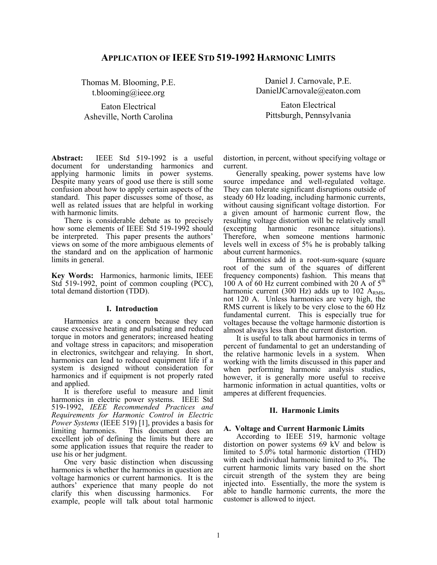# **APPLICATION OF IEEE STD 519-1992 HARMONIC LIMITS**

Thomas M. Blooming, P.E. t.blooming@ieee.org

Eaton Electrical Asheville, North Carolina

Daniel J. Carnovale, P.E. DanielJCarnovale@eaton.com

Eaton Electrical Pittsburgh, Pennsylvania

**Abstract:** IEEE Std 519-1992 is a useful document for understanding harmonics and applying harmonic limits in power systems. Despite many years of good use there is still some confusion about how to apply certain aspects of the standard. This paper discusses some of those, as well as related issues that are helpful in working with harmonic limits.

There is considerable debate as to precisely how some elements of IEEE Std 519-1992 should be interpreted. This paper presents the authors' views on some of the more ambiguous elements of the standard and on the application of harmonic limits in general.

**Key Words:** Harmonics, harmonic limits, IEEE Std 519-1992, point of common coupling (PCC), total demand distortion (TDD).

### **I. Introduction**

Harmonics are a concern because they can cause excessive heating and pulsating and reduced torque in motors and generators; increased heating and voltage stress in capacitors; and misoperation in electronics, switchgear and relaying. In short, harmonics can lead to reduced equipment life if a system is designed without consideration for harmonics and if equipment is not properly rated and applied.

It is therefore useful to measure and limit harmonics in electric power systems. IEEE Std 519-1992, *IEEE Recommended Practices and Requirements for Harmonic Control in Electric Power Systems* (IEEE 519) [1], provides a basis for limiting harmonics. This document does an This document does an excellent job of defining the limits but there are some application issues that require the reader to use his or her judgment.

One very basic distinction when discussing harmonics is whether the harmonics in question are voltage harmonics or current harmonics. It is the authors' experience that many people do not clarify this when discussing harmonics. For example, people will talk about total harmonic distortion, in percent, without specifying voltage or current.

Generally speaking, power systems have low source impedance and well-regulated voltage. They can tolerate significant disruptions outside of steady 60 Hz loading, including harmonic currents, without causing significant voltage distortion. For a given amount of harmonic current flow, the resulting voltage distortion will be relatively small<br>(excepting harmonic resonance situations). (excepting harmonic resonance situations). Therefore, when someone mentions harmonic levels well in excess of 5% he is probably talking about current harmonics.

Harmonics add in a root-sum-square (square root of the sum of the squares of different frequency components) fashion. This means that  $100$  A of 60 Hz current combined with 20 A of  $5<sup>th</sup>$ harmonic current (300 Hz) adds up to 102  $A<sub>RMS</sub>$ , not 120 A. Unless harmonics are very high, the RMS current is likely to be very close to the 60 Hz fundamental current. This is especially true for voltages because the voltage harmonic distortion is almost always less than the current distortion.

It is useful to talk about harmonics in terms of percent of fundamental to get an understanding of the relative harmonic levels in a system. When working with the limits discussed in this paper and when performing harmonic analysis studies, however, it is generally more useful to receive harmonic information in actual quantities, volts or amperes at different frequencies.

### **II. Harmonic Limits**

### **A. Voltage and Current Harmonic Limits**

According to IEEE 519, harmonic voltage distortion on power systems 69 kV and below is limited to 5.0% total harmonic distortion (THD) with each individual harmonic limited to  $3\%$ . The current harmonic limits vary based on the short circuit strength of the system they are being injected into. Essentially, the more the system is able to handle harmonic currents, the more the customer is allowed to inject.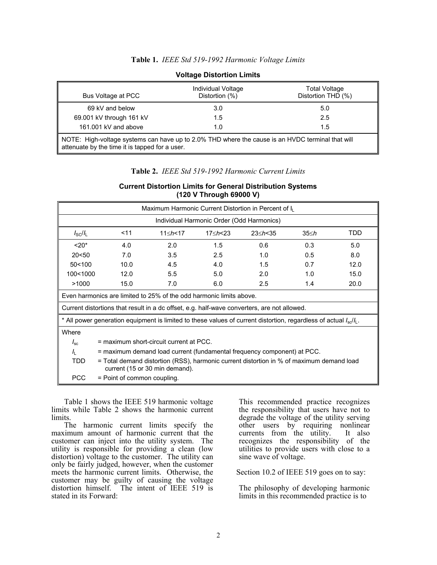| <b>Voltage Distortion Limits</b>                                                                                                                   |                                      |                                            |  |  |  |  |
|----------------------------------------------------------------------------------------------------------------------------------------------------|--------------------------------------|--------------------------------------------|--|--|--|--|
| Bus Voltage at PCC                                                                                                                                 | Individual Voltage<br>Distortion (%) | <b>Total Voltage</b><br>Distortion THD (%) |  |  |  |  |
| 69 kV and below                                                                                                                                    | 3.0                                  | 5.0                                        |  |  |  |  |
| 69.001 kV through 161 kV                                                                                                                           | 1.5                                  | 2.5                                        |  |  |  |  |
| 161.001 kV and above                                                                                                                               | 1.0                                  | 1.5                                        |  |  |  |  |
| NOTE: High-voltage systems can have up to 2.0% THD where the cause is an HVDC terminal that will<br>attenuate by the time it is tapped for a user. |                                      |                                            |  |  |  |  |

# **Table 1.** *IEEE Std 519-1992 Harmonic Voltage Limits*

# **Table 2.** *IEEE Std 519-1992 Harmonic Current Limits*

| , 120 V THIOUGH 03000 V                                                                                                           |                                                                         |                  |         |                 |             |      |  |  |  |
|-----------------------------------------------------------------------------------------------------------------------------------|-------------------------------------------------------------------------|------------------|---------|-----------------|-------------|------|--|--|--|
| Maximum Harmonic Current Distortion in Percent of I <sub>1</sub>                                                                  |                                                                         |                  |         |                 |             |      |  |  |  |
|                                                                                                                                   | Individual Harmonic Order (Odd Harmonics)                               |                  |         |                 |             |      |  |  |  |
| $I_{\rm SC}/I_{\rm L}$                                                                                                            | 11                                                                      | $11 \leq h < 17$ | 17≤h<23 | $23 \le h < 35$ | $35 \leq h$ | TDD  |  |  |  |
| $20*$                                                                                                                             | 4.0                                                                     | 2.0              | 1.5     | 0.6             | 0.3         | 5.0  |  |  |  |
| 20< 50                                                                                                                            | 7.0                                                                     | 3.5              | 2.5     | 1.0             | 0.5         | 8.0  |  |  |  |
| 50<100                                                                                                                            | 10.0                                                                    | 4.5              | 4.0     | 1.5             | 0.7         | 12.0 |  |  |  |
| 100<1000                                                                                                                          | 12.0                                                                    | 5.5              | 5.0     | 2.0             | 1.0         | 15.0 |  |  |  |
| >1000                                                                                                                             | 15.0                                                                    | 7.0              | 6.0     | 2.5             | 1.4         | 20.0 |  |  |  |
| Even harmonics are limited to 25% of the odd harmonic limits above.                                                               |                                                                         |                  |         |                 |             |      |  |  |  |
| Current distortions that result in a dc offset, e.g. half-wave converters, are not allowed.                                       |                                                                         |                  |         |                 |             |      |  |  |  |
| * All power generation equipment is limited to these values of current distortion, regardless of actual $I_{\rm sc}/I_{\rm L}$ .  |                                                                         |                  |         |                 |             |      |  |  |  |
| Where                                                                                                                             |                                                                         |                  |         |                 |             |      |  |  |  |
| $I_{\rm sc}$                                                                                                                      | $=$ maximum short-circuit current at PCC.                               |                  |         |                 |             |      |  |  |  |
| $I_{\rm L}$                                                                                                                       | = maximum demand load current (fundamental frequency component) at PCC. |                  |         |                 |             |      |  |  |  |
| TDD<br>= Total demand distortion (RSS), harmonic current distortion in % of maximum demand load<br>current (15 or 30 min demand). |                                                                         |                  |         |                 |             |      |  |  |  |
| <b>PCC</b>                                                                                                                        | = Point of common coupling.                                             |                  |         |                 |             |      |  |  |  |

# **Current Distortion Limits for General Distribution Systems (120 V Through 69000 V)**

Table 1 shows the IEEE 519 harmonic voltage limits while Table 2 shows the harmonic current limits.

The harmonic current limits specify the maximum amount of harmonic current that the customer can inject into the utility system. The utility is responsible for providing a clean (low distortion) voltage to the customer. The utility can only be fairly judged, however, when the customer meets the harmonic current limits. Otherwise, the customer may be guilty of causing the voltage distortion himself. The intent of IEEE 519 is stated in its Forward:

This recommended practice recognizes the responsibility that users have not to degrade the voltage of the utility serving other users by requiring nonlinear currents from the utility. It also recognizes the responsibility of the utilities to provide users with close to a sine wave of voltage.

Section 10.2 of IEEE 519 goes on to say:

The philosophy of developing harmonic limits in this recommended practice is to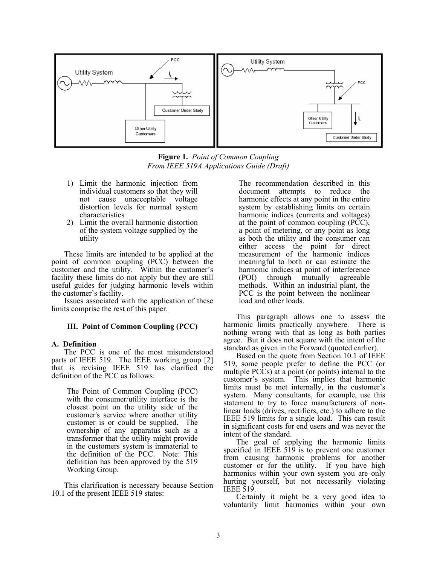

**Figure 1.** *Point of Common Coupling From IEEE 519A Applications Guide (Draft)* 

- 1) Limit the harmonic injection from individual customers so that they will not cause unacceptable voltage distortion levels for normal system characteristics
- 2) Limit the overall harmonic distortion of the system voltage supplied by the utility

These limits are intended to be applied at the point of common coupling (PCC) between the customer and the utility. Within the customer's facility these limits do not apply but they are still useful guides for judging harmonic levels within the customer's facility.

Issues associated with the application of these limits comprise the rest of this paper.

# **III. Point of Common Coupling (PCC)**

# **A. Definition**

The PCC is one of the most misunderstood parts of IEEE 519. The IEEE working group [2] that is revising IEEE 519 has clarified the definition of the PCC as follows:

The Point of Common Coupling (PCC) with the consumer/utility interface is the closest point on the utility side of the customer's service where another utility customer is or could be supplied. The ownership of any apparatus such as a transformer that the utility might provide in the customers system is immaterial to the definition of the PCC. Note: This definition has been approved by the 519 Working Group.

This clarification is necessary because Section 10.1 of the present IEEE 519 states:

The recommendation described in this document attempts to reduce the harmonic effects at any point in the entire system by establishing limits on certain harmonic indices (currents and voltages) at the point of common coupling (PCC), a point of metering, or any point as long as both the utility and the consumer can either access the point for direct measurement of the harmonic indices meaningful to both or can estimate the harmonic indices at point of interference (POI) through mutually agreeable methods. Within an industrial plant, the PCC is the point between the nonlinear load and other loads.

This paragraph allows one to assess the harmonic limits practically anywhere. There is nothing wrong with that as long as both parties agree. But it does not square with the intent of the standard as given in the Forward (quoted earlier).

Based on the quote from Section 10.1 of IEEE 519, some people prefer to define the PCC (or multiple PCCs) at a point (or points) internal to the customer's system. This implies that harmonic limits must be met internally, in the customer's system. Many consultants, for example, use this statement to try to force manufacturers of nonlinear loads (drives, rectifiers, etc.) to adhere to the IEEE 519 limits for a single load. This can result in significant costs for end users and was never the intent of the standard.

The goal of applying the harmonic limits specified in IEEE 519 is to prevent one customer from causing harmonic problems for another customer or for the utility. If you have high harmonics within your own system you are only hurting yourself, but not necessarily violating IEEE 519.

Certainly it might be a very good idea to voluntarily limit harmonics within your own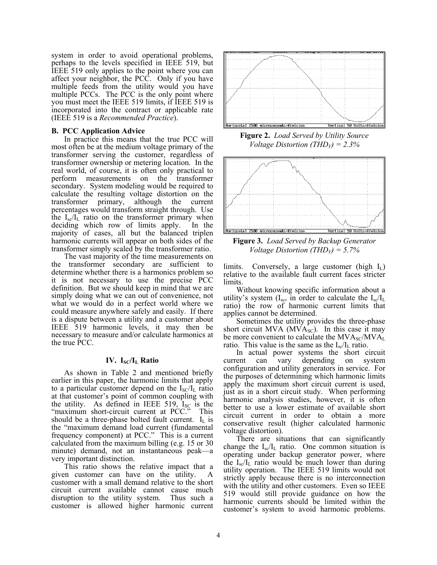system in order to avoid operational problems, perhaps to the levels specified in IEEE 519, but IEEE 519 only applies to the point where you can affect your neighbor, the PCC. Only if you have multiple feeds from the utility would you have multiple PCCs. The PCC is the only point where you must meet the IEEE 519 limits, if IEEE 519 is incorporated into the contract or applicable rate (IEEE 519 is a *Recommended Practice*).

# **B. PCC Application Advice**

In practice this means that the true PCC will most often be at the medium voltage primary of the transformer serving the customer, regardless of transformer ownership or metering location. In the real world, of course, it is often only practical to perform measurements on the transformer secondary. System modeling would be required to calculate the resulting voltage distortion on the transformer primary, although the current primary, although the current percentages would transform straight through. Use the  $I_{\rm sc}/I_{\rm L}$  ratio on the transformer primary when deciding which row of limits apply. In the majority of cases, all but the balanced triplen harmonic currents will appear on both sides of the transformer simply scaled by the transformer ratio.

The vast majority of the time measurements on the transformer secondary are sufficient to determine whether there is a harmonics problem so it is not necessary to use the precise PCC definition. But we should keep in mind that we are simply doing what we can out of convenience, not what we would do in a perfect world where we could measure anywhere safely and easily. If there is a dispute between a utility and a customer about IEEE 519 harmonic levels, it may then be necessary to measure and/or calculate harmonics at the true PCC.

# IV. I<sub>SC</sub>/I<sub>L</sub> Ratio

As shown in Table 2 and mentioned briefly earlier in this paper, the harmonic limits that apply to a particular customer depend on the  $I_{\rm SC}/I_{\rm L}$  ratio at that customer's point of common coupling with the utility. As defined in IEEE 519,  $I_{SC}$  is the "maximum short-circuit current at PCC." This should be a three-phase bolted fault current.  $I_L$  is the "maximum demand load current (fundamental frequency component) at PCC." This is a current calculated from the maximum billing (e.g. 15 or 30 minute) demand, not an instantaneous peak—a very important distinction.

This ratio shows the relative impact that a given customer can have on the utility. A customer with a small demand relative to the short circuit current available cannot cause much disruption to the utility system. Thus such a customer is allowed higher harmonic current



**Figure 2.** *Load Served by Utility Source Voltage Distortion (THD<sub>V</sub>) = 2.3%* 



**Figure 3.** *Load Served by Backup Generator Voltage Distortion (THD<sub>V</sub>) = 5.7%* 

limits. Conversely, a large customer (high IL) relative to the available fault current faces stricter limits.

Without knowing specific information about a utility's system  $(I_{\rm sc}$ , in order to calculate the  $I_{\rm sc}/I_{\rm L}$ ratio) the row of harmonic current limits that applies cannot be determined.

Sometimes the utility provides the three-phase short circuit MVA ( $\text{MVA}_{\text{SC}}$ ). In this case it may be more convenient to calculate the MVA<sub>SC</sub>/MVA<sub>L</sub> ratio. This value is the same as the  $I_{sc}/I_L$  ratio.

In actual power systems the short circuit current can vary depending on system configuration and utility generators in service. For the purposes of determining which harmonic limits apply the maximum short circuit current is used, just as in a short circuit study. When performing harmonic analysis studies, however, it is often better to use a lower estimate of available short circuit current in order to obtain a more conservative result (higher calculated harmonic voltage distortion).

There are situations that can significantly change the  $I_{\rm sc}/I_{\rm L}$  ratio. One common situation is operating under backup generator power, where the  $I_{\rm sc}/I_{\rm L}$  ratio would be much lower than during utility operation. The IEEE 519 limits would not strictly apply because there is no interconnection with the utility and other customers. Even so IEEE 519 would still provide guidance on how the harmonic currents should be limited within the customer's system to avoid harmonic problems.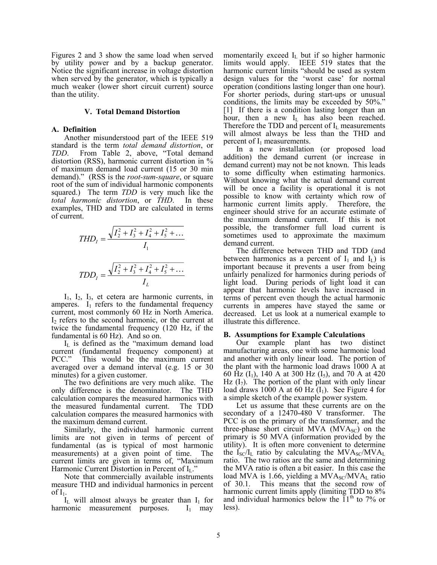Figures 2 and 3 show the same load when served by utility power and by a backup generator. Notice the significant increase in voltage distortion when served by the generator, which is typically a much weaker (lower short circuit current) source than the utility.

### **V. Total Demand Distortion**

### **A. Definition**

Another misunderstood part of the IEEE 519 standard is the term *total demand distortion*, or *TDD*. From Table 2, above, "Total demand distortion (RSS), harmonic current distortion in % of maximum demand load current (15 or 30 min demand)." (RSS is the *root-sum-square*, or square root of the sum of individual harmonic components squared.) The term *TDD* is very much like the *total harmonic distortion*, or *THD*. In these examples, THD and TDD are calculated in terms of current.

$$
THD_{I} = \frac{\sqrt{I_{2}^{2} + I_{3}^{2} + I_{4}^{2} + I_{5}^{2} + \dots}}{I_{1}}
$$

$$
TDD_{I} = \frac{\sqrt{I_{2}^{2} + I_{3}^{2} + I_{4}^{2} + I_{5}^{2} + \dots}}{I_{L}}
$$

 $I_1$ ,  $I_2$ ,  $I_3$ , et cetera are harmonic currents, in amperes.  $I_1$  refers to the fundamental frequency current, most commonly 60 Hz in North America.  $I_2$  refers to the second harmonic, or the current at twice the fundamental frequency (120 Hz, if the fundamental is 60 Hz). And so on.

IL is defined as the "maximum demand load current (fundamental frequency component) at PCC." This would be the maximum current averaged over a demand interval (e.g. 15 or 30 minutes) for a given customer.

The two definitions are very much alike. The only difference is the denominator. The THD calculation compares the measured harmonics with the measured fundamental current. The TDD calculation compares the measured harmonics with the maximum demand current.

Similarly, the individual harmonic current limits are not given in terms of percent of fundamental (as is typical of most harmonic measurements) at a given point of time. The current limits are given in terms of, "Maximum Harmonic Current Distortion in Percent of I<sub>L</sub>."

Note that commercially available instruments measure THD and individual harmonics in percent of  $I_1$ .

 $I_L$  will almost always be greater than  $I_1$  for harmonic measurement purposes.  $I_1$  may

momentarily exceed  $I_L$  but if so higher harmonic limits would apply. IEEE 519 states that the harmonic current limits "should be used as system design values for the 'worst case' for normal operation (conditions lasting longer than one hour). For shorter periods, during start-ups or unusual conditions, the limits may be exceeded by 50%." [1] If there is a condition lasting longer than an hour, then a new  $I_L$  has also been reached. Therefore the TDD and percent of  $I_L$  measurements will almost always be less than the THD and percent of  $I_1$  measurements.

In a new installation (or proposed load addition) the demand current (or increase in demand current) may not be not known. This leads to some difficulty when estimating harmonics. Without knowing what the actual demand current will be once a facility is operational it is not possible to know with certainty which row of harmonic current limits apply. Therefore, the engineer should strive for an accurate estimate of the maximum demand current. If this is not possible, the transformer full load current is sometimes used to approximate the maximum demand current.

The difference between THD and TDD (and between harmonics as a percent of  $I_1$  and  $I_L$ ) is important because it prevents a user from being unfairly penalized for harmonics during periods of light load. During periods of light load it can appear that harmonic levels have increased in terms of percent even though the actual harmonic currents in amperes have stayed the same or decreased. Let us look at a numerical example to illustrate this difference.

# **B. Assumptions for Example Calculations**

Our example plant has two distinct manufacturing areas, one with some harmonic load and another with only linear load. The portion of the plant with the harmonic load draws 1000 A at 60 Hz  $(I_1)$ , 140 A at 300 Hz  $(I_5)$ , and 70 A at 420 Hz  $(I_7)$ . The portion of the plant with only linear load draws 1000 A at 60 Hz  $(I_1)$ . See Figure 4 for a simple sketch of the example power system.

Let us assume that these currents are on the secondary of a 12470-480 V transformer. The PCC is on the primary of the transformer, and the three-phase short circuit MVA  $(MVA<sub>SC</sub>)$  on the primary is 50 MVA (information provided by the utility). It is often more convenient to determine the  $I_{\rm SC}/I_{\rm L}$  ratio by calculating the MVA<sub>SC</sub>/MVA<sub>L</sub> ratio. The two ratios are the same and determining the MVA ratio is often a bit easier. In this case the load MVA is 1.66, yielding a MVA<sub>SC</sub>/MVA<sub>L</sub> ratio of 30.1. This means that the second row of harmonic current limits apply (limiting TDD to  $8\%$ ) and individual harmonics below the  $11<sup>th</sup>$  to 7% or less).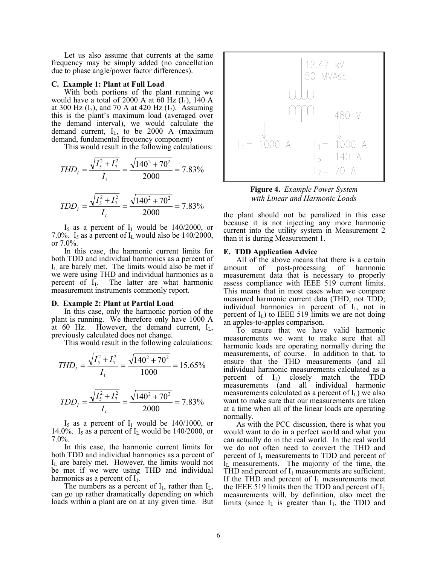Let us also assume that currents at the same frequency may be simply added (no cancellation due to phase angle/power factor differences).

#### **C. Example 1: Plant at Full Load**

With both portions of the plant running we would have a total of 2000 A at  $60$  Hz  $(I<sub>1</sub>)$ , 140 A at 300 Hz  $(I_5)$ , and 70 A at 420 Hz  $(I_7)$ . Assuming this is the plant's maximum load (averaged over the demand interval), we would calculate the demand current,  $I_L$ , to be 2000 A (maximum demand, fundamental frequency component)

This would result in the following calculations:

$$
THD_{I} = \frac{\sqrt{I_{S}^{2} + I_{7}^{2}}}{I_{1}} = \frac{\sqrt{140^{2} + 70^{2}}}{2000} = 7.83\%
$$

$$
TDD_t = \frac{\sqrt{I_s^2 + I_7^2}}{I_L} = \frac{\sqrt{140^2 + 70^2}}{2000} = 7.83\%
$$

 $I_5$  as a percent of  $I_1$  would be 140/2000, or 7.0%. I<sub>5</sub> as a percent of I<sub>L</sub> would also be  $140/2000$ , or 7.0%.

In this case, the harmonic current limits for both TDD and individual harmonics as a percent of  $I_L$  are barely met. The limits would also be met if we were using THD and individual harmonics as a percent of  $I_1$ . The latter are what harmonic measurement instruments commonly report.

#### **D. Example 2: Plant at Partial Load**

In this case, only the harmonic portion of the plant is running. We therefore only have 1000 A at 60 Hz. However, the demand current,  $I_L$ , previously calculated does not change.

This would result in the following calculations:

$$
THD_{I} = \frac{\sqrt{I_{5}^{2} + I_{7}^{2}}}{I_{1}} = \frac{\sqrt{140^{2} + 70^{2}}}{1000} = 15.65\%
$$

$$
TDD_t = \frac{\sqrt{I_s^2 + I_7^2}}{I_L} = \frac{\sqrt{140^2 + 70^2}}{2000} = 7.83\%
$$

 $I<sub>5</sub>$  as a percent of  $I<sub>1</sub>$  would be 140/1000, or 14.0%. I<sub>5</sub> as a percent of  $I_L$  would be 140/2000, or 7.0%.

In this case, the harmonic current limits for both TDD and individual harmonics as a percent of IL are barely met. However, the limits would not be met if we were using THD and individual harmonics as a percent of  $I_1$ .<br>The numbers as a percent of  $I_1$ , rather than  $I_L$ ,

can go up rather dramatically depending on which loads within a plant are on at any given time. But



**Figure 4.** *Example Power System with Linear and Harmonic Loads* 

the plant should not be penalized in this case because it is not injecting any more harmonic current into the utility system in Measurement 2 than it is during Measurement 1.

#### **E. TDD Application Advice**

All of the above means that there is a certain amount of post-processing of harmonic measurement data that is necessary to properly assess compliance with IEEE 519 current limits. This means that in most cases when we compare measured harmonic current data (THD, not TDD; individual harmonics in percent of  $I_1$ , not in percent of  $I_L$ ) to IEEE 519 limits we are not doing an apples-to-apples comparison.

To ensure that we have valid harmonic measurements we want to make sure that all harmonic loads are operating normally during the measurements, of course. In addition to that, to ensure that the THD measurements (and all individual harmonic measurements calculated as a percent of  $I_1$ ) closely match the TDD measurements (and all individual harmonic measurements calculated as a percent of  $I_L$ ) we also want to make sure that our measurements are taken at a time when all of the linear loads are operating normally.

As with the PCC discussion, there is what you would want to do in a perfect world and what you can actually do in the real world. In the real world we do not often need to convert the THD and percent of  $I_1$  measurements to TDD and percent of  $I_L$  measurements. The majority of the time, the THD and percent of  $I_1$  measurements are sufficient. If the THD and percent of  $I_1$  measurements meet the IEEE 519 limits then the TDD and percent of  $I_L$ measurements will, by definition, also meet the limits (since  $I_L$  is greater than  $I_1$ , the TDD and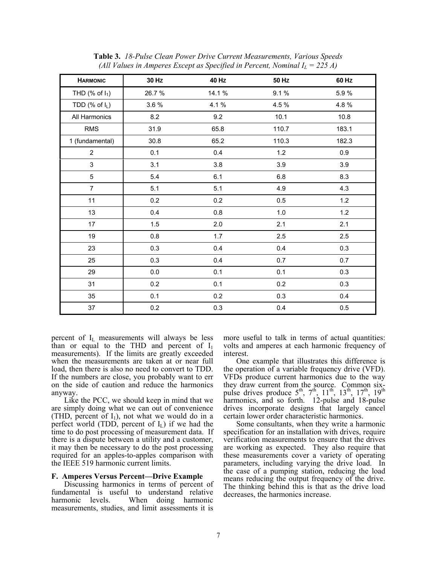| <b>HARMONIC</b>   | 30 Hz | 40 Hz  | 50 Hz      | 60 Hz |
|-------------------|-------|--------|------------|-------|
| THD (% of $I_1$ ) | 26.7% | 14.1 % | 9.1%       | 5.9%  |
| TDD (% of $I_L$ ) | 3.6 % | 4.1 %  | 4.5%       | 4.8%  |
| All Harmonics     | 8.2   | 9.2    | 10.1       | 10.8  |
| <b>RMS</b>        | 31.9  | 65.8   | 110.7      | 183.1 |
| 1 (fundamental)   | 30.8  | 65.2   | 110.3      | 182.3 |
| $\overline{2}$    | 0.1   | 0.4    | 1.2        | 0.9   |
| 3                 | 3.1   | 3.8    | 3.9        | 3.9   |
| 5                 | 5.4   | 6.1    | 6.8        | 8.3   |
| $\overline{7}$    | 5.1   | 5.1    | 4.9        | 4.3   |
| 11                | 0.2   | 0.2    | 0.5        | 1.2   |
| 13                | 0.4   | 0.8    | $1.0\,$    | 1.2   |
| 17                | 1.5   | 2.0    | 2.1        | 2.1   |
| 19                | 0.8   | 1.7    | 2.5        | 2.5   |
| 23                | 0.3   | 0.4    | 0.4        | 0.3   |
| 25                | 0.3   | 0.4    | 0.7        | 0.7   |
| 29                | 0.0   | 0.1    | 0.1        | 0.3   |
| 31                | 0.2   | 0.1    | 0.2<br>0.3 |       |
| 35                | 0.1   | 0.2    | 0.3        | 0.4   |
| 37                | 0.2   | 0.3    | 0.4        | 0.5   |

**Table 3.** *18-Pulse Clean Power Drive Current Measurements, Various Speeds (All Values in Amperes Except as Specified in Percent, Nominal*  $I_L = 225 A$ *)* 

percent of  $I_L$  measurements will always be less than or equal to the THD and percent of  $I_1$ measurements). If the limits are greatly exceeded when the measurements are taken at or near full load, then there is also no need to convert to TDD. If the numbers are close, you probably want to err on the side of caution and reduce the harmonics anyway.

Like the PCC, we should keep in mind that we are simply doing what we can out of convenience (THD, percent of  $I_1$ ), not what we would do in a perfect world (TDD, percent of  $I_L$ ) if we had the time to do post processing of measurement data. If there is a dispute between a utility and a customer, it may then be necessary to do the post processing required for an apples-to-apples comparison with the IEEE 519 harmonic current limits.

#### **F. Amperes Versus Percent—Drive Example**

Discussing harmonics in terms of percent of fundamental is useful to understand relative harmonic levels. When doing harmonic measurements, studies, and limit assessments it is

more useful to talk in terms of actual quantities: volts and amperes at each harmonic frequency of interest.

One example that illustrates this difference is the operation of a variable frequency drive (VFD). VFDs produce current harmonics due to the way they draw current from the source. Common sixpulse drives produce  $5^{th}$ ,  $7^{th}$ ,  $11^{th}$ ,  $13^{th}$ ,  $17^{th}$ ,  $19^{th}$ harmonics, and so forth. 12-pulse and 18-pulse drives incorporate designs that largely cancel certain lower order characteristic harmonics.

Some consultants, when they write a harmonic specification for an installation with drives, require verification measurements to ensure that the drives are working as expected. They also require that these measurements cover a variety of operating parameters, including varying the drive load. In the case of a pumping station, reducing the load means reducing the output frequency of the drive. The thinking behind this is that as the drive load decreases, the harmonics increase.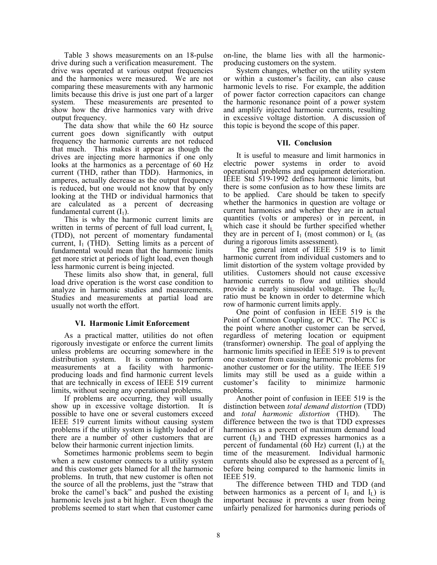Table 3 shows measurements on an 18-pulse drive during such a verification measurement. The drive was operated at various output frequencies and the harmonics were measured. We are not comparing these measurements with any harmonic limits because this drive is just one part of a larger system. These measurements are presented to show how the drive harmonics vary with drive output frequency.

The data show that while the 60 Hz source current goes down significantly with output frequency the harmonic currents are not reduced that much. This makes it appear as though the drives are injecting more harmonics if one only looks at the harmonics as a percentage of 60 Hz current (THD, rather than TDD). Harmonics, in amperes, actually decrease as the output frequency is reduced, but one would not know that by only looking at the THD or individual harmonics that are calculated as a percent of decreasing fundamental current  $(I_1)$ .

This is why the harmonic current limits are written in terms of percent of full load current,  $I_L$ (TDD), not percent of momentary fundamental current,  $I_1$  (THD). Setting limits as a percent of fundamental would mean that the harmonic limits get more strict at periods of light load, even though less harmonic current is being injected.

These limits also show that, in general, full load drive operation is the worst case condition to analyze in harmonic studies and measurements. Studies and measurements at partial load are usually not worth the effort.

# **VI. Harmonic Limit Enforcement**

As a practical matter, utilities do not often rigorously investigate or enforce the current limits unless problems are occurring somewhere in the distribution system. It is common to perform measurements at a facility with harmonicproducing loads and find harmonic current levels that are technically in excess of IEEE 519 current limits, without seeing any operational problems.

If problems are occurring, they will usually show up in excessive voltage distortion. It is possible to have one or several customers exceed IEEE 519 current limits without causing system problems if the utility system is lightly loaded or if there are a number of other customers that are below their harmonic current injection limits.

Sometimes harmonic problems seem to begin when a new customer connects to a utility system and this customer gets blamed for all the harmonic problems. In truth, that new customer is often not the source of all the problems, just the "straw that broke the camel's back" and pushed the existing harmonic levels just a bit higher. Even though the problems seemed to start when that customer came

on-line, the blame lies with all the harmonicproducing customers on the system.

System changes, whether on the utility system or within a customer's facility, can also cause harmonic levels to rise. For example, the addition of power factor correction capacitors can change the harmonic resonance point of a power system and amplify injected harmonic currents, resulting in excessive voltage distortion. A discussion of this topic is beyond the scope of this paper.

# **VII. Conclusion**

It is useful to measure and limit harmonics in electric power systems in order to avoid operational problems and equipment deterioration. IEEE Std 519-1992 defines harmonic limits, but there is some confusion as to how these limits are to be applied. Care should be taken to specify whether the harmonics in question are voltage or current harmonics and whether they are in actual quantities (volts or amperes) or in percent, in which case it should be further specified whether they are in percent of  $I_1$  (most common) or  $I_L$  (as during a rigorous limits assessment).

The general intent of IEEE 519 is to limit harmonic current from individual customers and to limit distortion of the system voltage provided by utilities. Customers should not cause excessive harmonic currents to flow and utilities should provide a nearly sinusoidal voltage. The  $I_{\text{SC}}/I_{\text{L}}$ ratio must be known in order to determine which row of harmonic current limits apply.

One point of confusion in IEEE 519 is the Point of Common Coupling, or PCC. The PCC is the point where another customer can be served, regardless of metering location or equipment (transformer) ownership. The goal of applying the harmonic limits specified in IEEE 519 is to prevent one customer from causing harmonic problems for another customer or for the utility. The IEEE 519 limits may still be used as a guide within a customer's facility to minimize harmonic problems.

Another point of confusion in IEEE 519 is the distinction between *total demand distortion* (TDD) and *total harmonic distortion* (THD). The difference between the two is that TDD expresses harmonics as a percent of maximum demand load current  $(I_L)$  and THD expresses harmonics as a percent of fundamental (60 Hz) current  $(I_1)$  at the time of the measurement. Individual harmonic currents should also be expressed as a percent of  $I_L$ before being compared to the harmonic limits in IEEE 519.

The difference between THD and TDD (and between harmonics as a percent of  $I_1$  and  $I_L$ ) is important because it prevents a user from being unfairly penalized for harmonics during periods of